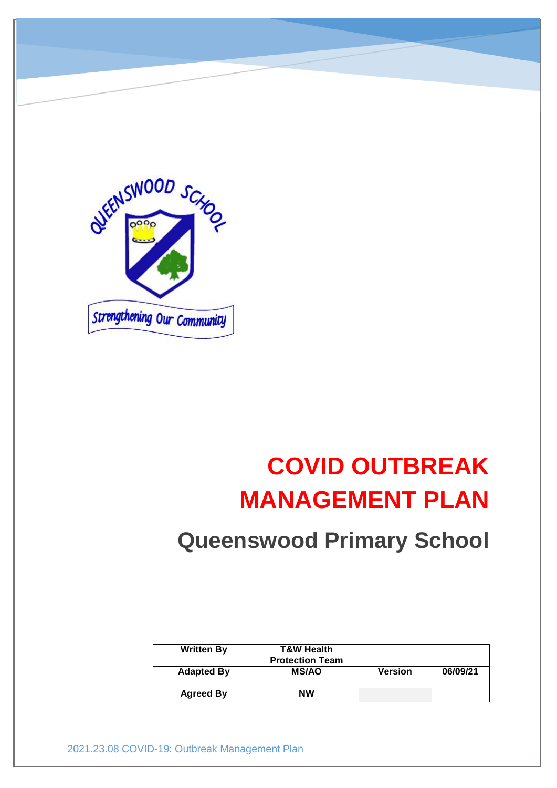

# **COVID OUTBREAK MANAGEMENT PLAN**

## **Queenswood Primary School**

| <b>Written By</b> | <b>T&amp;W Health</b><br><b>Protection Team</b> |                |          |
|-------------------|-------------------------------------------------|----------------|----------|
| <b>Adapted By</b> | <b>MS/AO</b>                                    | <b>Version</b> | 06/09/21 |
| <b>Agreed By</b>  | <b>NW</b>                                       |                |          |

2021.23.08 COVID-19: Outbreak Management Plan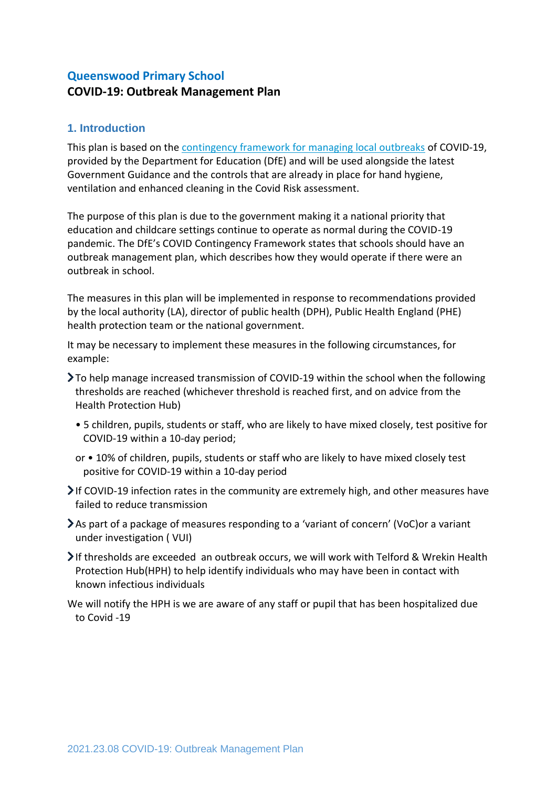### **Queenswood Primary School COVID-19: Outbreak Management Plan**

#### **1. Introduction**

This plan is based on the [contingency framework for managing local outbreaks](https://www.gov.uk/government/publications/coronavirus-covid-19-local-restrictions-in-education-and-childcare-settings) of COVID-19, provided by the Department for Education (DfE) and will be used alongside the latest Government Guidance and the controls that are already in place for hand hygiene, ventilation and enhanced cleaning in the Covid Risk assessment.

The purpose of this plan is due to the government making it a national priority that education and childcare settings continue to operate as normal during the COVID-19 pandemic. The DfE's COVID Contingency Framework states that schools should have an outbreak management plan, which describes how they would operate if there were an outbreak in school.

The measures in this plan will be implemented in response to recommendations provided by the local authority (LA), director of public health (DPH), Public Health England (PHE) health protection team or the national government.

It may be necessary to implement these measures in the following circumstances, for example:

- To help manage increased transmission of COVID-19 within the school when the following thresholds are reached (whichever threshold is reached first, and on advice from the Health Protection Hub)
	- 5 children, pupils, students or staff, who are likely to have mixed closely, test positive for COVID-19 within a 10-day period;
	- or 10% of children, pupils, students or staff who are likely to have mixed closely test positive for COVID-19 within a 10-day period
- If COVID-19 infection rates in the community are extremely high, and other measures have failed to reduce transmission
- As part of a package of measures responding to a 'variant of concern' (VoC)or a variant under investigation ( VUI)
- $\triangleright$  If thresholds are exceeded an outbreak occurs, we will work with Telford & Wrekin Health Protection Hub(HPH) to help identify individuals who may have been in contact with known infectious individuals

We will notify the HPH is we are aware of any staff or pupil that has been hospitalized due to Covid -19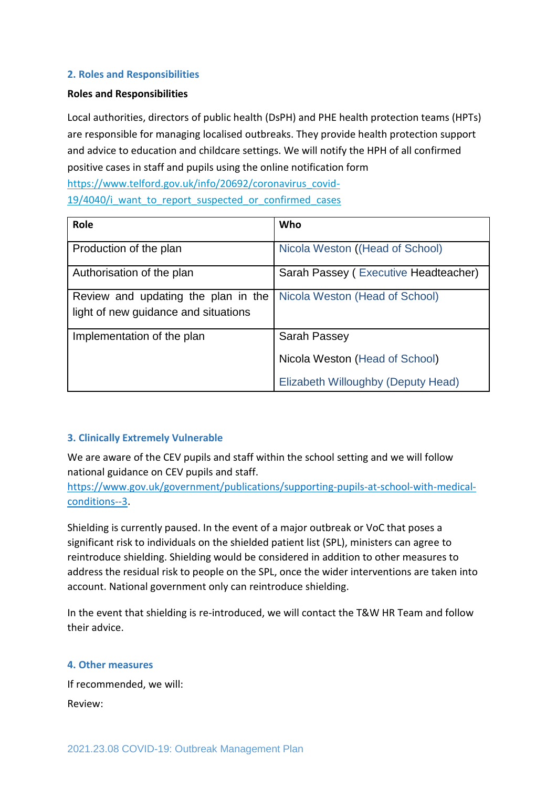#### **2. Roles and Responsibilities**

#### **Roles and Responsibilities**

Local authorities, directors of public health (DsPH) and PHE health protection teams (HPTs) are responsible for managing localised outbreaks. They provide health protection support and advice to education and childcare settings. We will notify the HPH of all confirmed positive cases in staff and pupils using the online notification form [https://www.telford.gov.uk/info/20692/coronavirus\\_covid-](https://www.telford.gov.uk/info/20692/coronavirus_covid-19/4040/i_want_to_report_suspected_or_confirmed_cases)19/4040/i want to report suspected or confirmed cases

| Role                                 | Who                                  |
|--------------------------------------|--------------------------------------|
| Production of the plan               | Nicola Weston ((Head of School)      |
| Authorisation of the plan            | Sarah Passey (Executive Headteacher) |
| Review and updating the plan in the  | Nicola Weston (Head of School)       |
| light of new guidance and situations |                                      |
| Implementation of the plan           | Sarah Passey                         |
|                                      | Nicola Weston (Head of School)       |
|                                      | Elizabeth Willoughby (Deputy Head)   |

#### **3. Clinically Extremely Vulnerable**

We are aware of the CEV pupils and staff within the school setting and we will follow national guidance on CEV pupils and staff.

[https://www.gov.uk/government/publications/supporting-pupils-at-school-with-medical](https://www.gov.uk/government/publications/supporting-pupils-at-school-with-medical-conditions--3)[conditions--3.](https://www.gov.uk/government/publications/supporting-pupils-at-school-with-medical-conditions--3)

Shielding is currently paused. In the event of a major outbreak or VoC that poses a significant risk to individuals on the shielded patient list (SPL), ministers can agree to reintroduce shielding. Shielding would be considered in addition to other measures to address the residual risk to people on the SPL, once the wider interventions are taken into account. National government only can reintroduce shielding.

In the event that shielding is re-introduced, we will contact the T&W HR Team and follow their advice.

#### **4. Other measures**

If recommended, we will: Review: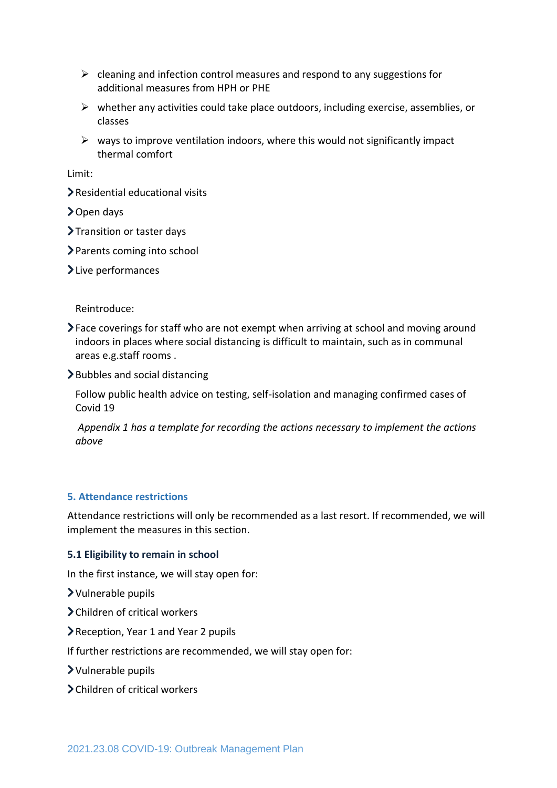- $\triangleright$  cleaning and infection control measures and respond to any suggestions for additional measures from HPH or PHE
- $\triangleright$  whether any activities could take place outdoors, including exercise, assemblies, or classes
- $\triangleright$  ways to improve ventilation indoors, where this would not significantly impact thermal comfort

Limit:

- Residential educational visits
- > Open days
- > Transition or taster days
- > Parents coming into school

> Live performances

Reintroduce:

- Face coverings for staff who are not exempt when arriving at school and moving around indoors in places where social distancing is difficult to maintain, such as in communal areas e.g.staff rooms .
- $\blacktriangleright$  Bubbles and social distancing

Follow public health advice on testing, self-isolation and managing confirmed cases of Covid 19

*Appendix 1 has a template for recording the actions necessary to implement the actions above* 

#### **5. Attendance restrictions**

Attendance restrictions will only be recommended as a last resort. If recommended, we will implement the measures in this section.

#### **5.1 Eligibility to remain in school**

In the first instance, we will stay open for:

- Vulnerable pupils
- Children of critical workers
- Reception, Year 1 and Year 2 pupils
- If further restrictions are recommended, we will stay open for:
- Vulnerable pupils
- Children of critical workers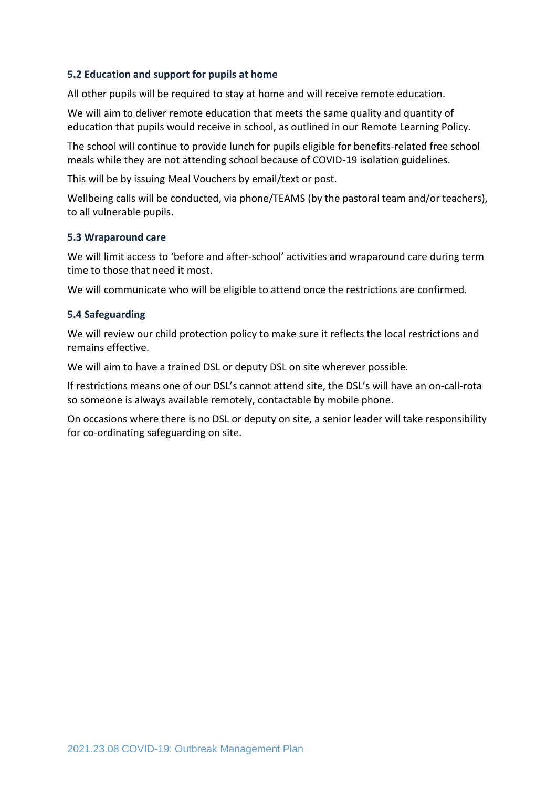#### **5.2 Education and support for pupils at home**

All other pupils will be required to stay at home and will receive remote education.

We will aim to deliver remote education that meets the same quality and quantity of education that pupils would receive in school, as outlined in our Remote Learning Policy.

The school will continue to provide lunch for pupils eligible for benefits-related free school meals while they are not attending school because of COVID-19 isolation guidelines.

This will be by issuing Meal Vouchers by email/text or post.

Wellbeing calls will be conducted, via phone/TEAMS (by the pastoral team and/or teachers), to all vulnerable pupils.

#### **5.3 Wraparound care**

We will limit access to 'before and after-school' activities and wraparound care during term time to those that need it most.

We will communicate who will be eligible to attend once the restrictions are confirmed.

#### **5.4 Safeguarding**

We will review our child protection policy to make sure it reflects the local restrictions and remains effective.

We will aim to have a trained DSL or deputy DSL on site wherever possible.

If restrictions means one of our DSL's cannot attend site, the DSL's will have an on-call-rota so someone is always available remotely, contactable by mobile phone.

On occasions where there is no DSL or deputy on site, a senior leader will take responsibility for co-ordinating safeguarding on site.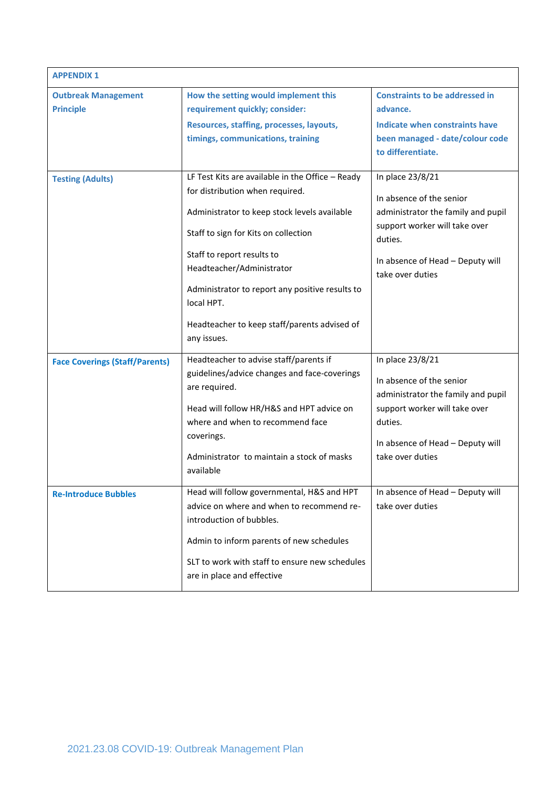| <b>APPENDIX 1</b>                              |                                                                                                                                                                                                                                                                                                                                                                        |                                                                                                                                                                                        |
|------------------------------------------------|------------------------------------------------------------------------------------------------------------------------------------------------------------------------------------------------------------------------------------------------------------------------------------------------------------------------------------------------------------------------|----------------------------------------------------------------------------------------------------------------------------------------------------------------------------------------|
| <b>Outbreak Management</b><br><b>Principle</b> | How the setting would implement this<br>requirement quickly; consider:<br>Resources, staffing, processes, layouts,<br>timings, communications, training                                                                                                                                                                                                                | <b>Constraints to be addressed in</b><br>advance.<br>Indicate when constraints have<br>been managed - date/colour code<br>to differentiate.                                            |
| <b>Testing (Adults)</b>                        | LF Test Kits are available in the Office - Ready<br>for distribution when required.<br>Administrator to keep stock levels available<br>Staff to sign for Kits on collection<br>Staff to report results to<br>Headteacher/Administrator<br>Administrator to report any positive results to<br>local HPT.<br>Headteacher to keep staff/parents advised of<br>any issues. | In place 23/8/21<br>In absence of the senior<br>administrator the family and pupil<br>support worker will take over<br>duties.<br>In absence of Head - Deputy will<br>take over duties |
| <b>Face Coverings (Staff/Parents)</b>          | Headteacher to advise staff/parents if<br>guidelines/advice changes and face-coverings<br>are required.<br>Head will follow HR/H&S and HPT advice on<br>where and when to recommend face<br>coverings.<br>Administrator to maintain a stock of masks<br>available                                                                                                      | In place 23/8/21<br>In absence of the senior<br>administrator the family and pupil<br>support worker will take over<br>duties.<br>In absence of Head - Deputy will<br>take over duties |
| <b>Re-Introduce Bubbles</b>                    | Head will follow governmental, H&S and HPT<br>advice on where and when to recommend re-<br>introduction of bubbles.<br>Admin to inform parents of new schedules<br>SLT to work with staff to ensure new schedules<br>are in place and effective                                                                                                                        | In absence of Head - Deputy will<br>take over duties                                                                                                                                   |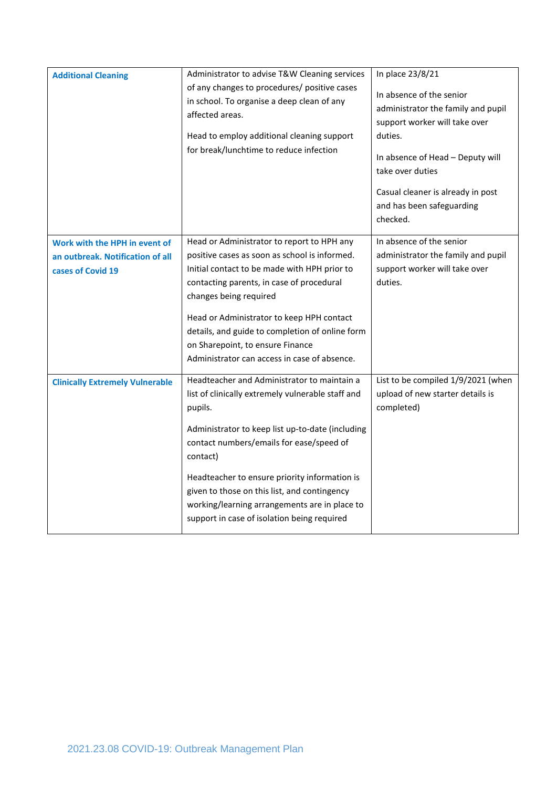| <b>Additional Cleaning</b>                                                             | Administrator to advise T&W Cleaning services<br>of any changes to procedures/ positive cases<br>in school. To organise a deep clean of any<br>affected areas.<br>Head to employ additional cleaning support<br>for break/lunchtime to reduce infection                                                                                                                                                                  | In place 23/8/21<br>In absence of the senior<br>administrator the family and pupil<br>support worker will take over<br>duties.<br>In absence of Head - Deputy will<br>take over duties<br>Casual cleaner is already in post<br>and has been safeguarding<br>checked. |
|----------------------------------------------------------------------------------------|--------------------------------------------------------------------------------------------------------------------------------------------------------------------------------------------------------------------------------------------------------------------------------------------------------------------------------------------------------------------------------------------------------------------------|----------------------------------------------------------------------------------------------------------------------------------------------------------------------------------------------------------------------------------------------------------------------|
| Work with the HPH in event of<br>an outbreak. Notification of all<br>cases of Covid 19 | Head or Administrator to report to HPH any<br>positive cases as soon as school is informed.<br>Initial contact to be made with HPH prior to<br>contacting parents, in case of procedural<br>changes being required<br>Head or Administrator to keep HPH contact<br>details, and guide to completion of online form<br>on Sharepoint, to ensure Finance<br>Administrator can access in case of absence.                   | In absence of the senior<br>administrator the family and pupil<br>support worker will take over<br>duties.                                                                                                                                                           |
| <b>Clinically Extremely Vulnerable</b>                                                 | Headteacher and Administrator to maintain a<br>list of clinically extremely vulnerable staff and<br>pupils.<br>Administrator to keep list up-to-date (including<br>contact numbers/emails for ease/speed of<br>contact)<br>Headteacher to ensure priority information is<br>given to those on this list, and contingency<br>working/learning arrangements are in place to<br>support in case of isolation being required | List to be compiled 1/9/2021 (when<br>upload of new starter details is<br>completed)                                                                                                                                                                                 |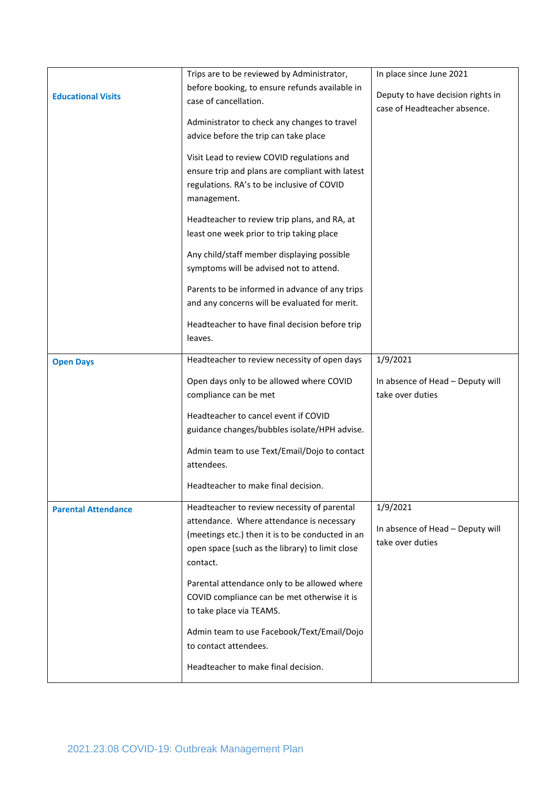|                            | Trips are to be reviewed by Administrator,                  | In place since June 2021                                          |
|----------------------------|-------------------------------------------------------------|-------------------------------------------------------------------|
|                            | before booking, to ensure refunds available in              |                                                                   |
| <b>Educational Visits</b>  | case of cancellation.                                       | Deputy to have decision rights in<br>case of Headteacher absence. |
|                            | Administrator to check any changes to travel                |                                                                   |
|                            |                                                             |                                                                   |
|                            | advice before the trip can take place                       |                                                                   |
|                            | Visit Lead to review COVID regulations and                  |                                                                   |
|                            | ensure trip and plans are compliant with latest             |                                                                   |
|                            | regulations. RA's to be inclusive of COVID                  |                                                                   |
|                            | management.                                                 |                                                                   |
|                            | Headteacher to review trip plans, and RA, at                |                                                                   |
|                            | least one week prior to trip taking place                   |                                                                   |
|                            |                                                             |                                                                   |
|                            | Any child/staff member displaying possible                  |                                                                   |
|                            | symptoms will be advised not to attend.                     |                                                                   |
|                            | Parents to be informed in advance of any trips              |                                                                   |
|                            | and any concerns will be evaluated for merit.               |                                                                   |
|                            |                                                             |                                                                   |
|                            | Headteacher to have final decision before trip              |                                                                   |
|                            | leaves.                                                     |                                                                   |
| <b>Open Days</b>           | Headteacher to review necessity of open days                | 1/9/2021                                                          |
|                            |                                                             |                                                                   |
|                            | Open days only to be allowed where COVID                    | In absence of Head - Deputy will                                  |
|                            | compliance can be met                                       | take over duties                                                  |
|                            | Headteacher to cancel event if COVID                        |                                                                   |
|                            | guidance changes/bubbles isolate/HPH advise.                |                                                                   |
|                            |                                                             |                                                                   |
|                            | Admin team to use Text/Email/Dojo to contact                |                                                                   |
|                            | attendees.                                                  |                                                                   |
|                            | Headteacher to make final decision.                         |                                                                   |
|                            |                                                             |                                                                   |
| <b>Parental Attendance</b> | Headteacher to review necessity of parental                 | 1/9/2021                                                          |
|                            | attendance. Where attendance is necessary                   | In absence of Head - Deputy will                                  |
|                            | (meetings etc.) then it is to be conducted in an            | take over duties                                                  |
|                            | open space (such as the library) to limit close<br>contact. |                                                                   |
|                            |                                                             |                                                                   |
|                            | Parental attendance only to be allowed where                |                                                                   |
|                            | COVID compliance can be met otherwise it is                 |                                                                   |
|                            | to take place via TEAMS.                                    |                                                                   |
|                            | Admin team to use Facebook/Text/Email/Dojo                  |                                                                   |
|                            | to contact attendees.                                       |                                                                   |
|                            |                                                             |                                                                   |
|                            | Headteacher to make final decision.                         |                                                                   |
|                            |                                                             |                                                                   |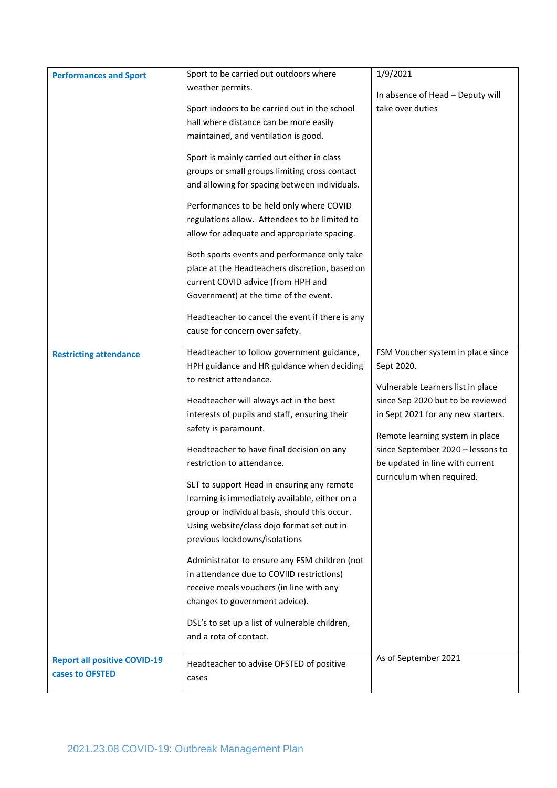| <b>Performances and Sport</b>       | Sport to be carried out outdoors where          | 1/9/2021                                             |
|-------------------------------------|-------------------------------------------------|------------------------------------------------------|
|                                     | weather permits.                                |                                                      |
|                                     | Sport indoors to be carried out in the school   | In absence of Head - Deputy will<br>take over duties |
|                                     |                                                 |                                                      |
|                                     | hall where distance can be more easily          |                                                      |
|                                     | maintained, and ventilation is good.            |                                                      |
|                                     | Sport is mainly carried out either in class     |                                                      |
|                                     | groups or small groups limiting cross contact   |                                                      |
|                                     | and allowing for spacing between individuals.   |                                                      |
|                                     | Performances to be held only where COVID        |                                                      |
|                                     | regulations allow. Attendees to be limited to   |                                                      |
|                                     | allow for adequate and appropriate spacing.     |                                                      |
|                                     | Both sports events and performance only take    |                                                      |
|                                     | place at the Headteachers discretion, based on  |                                                      |
|                                     | current COVID advice (from HPH and              |                                                      |
|                                     | Government) at the time of the event.           |                                                      |
|                                     | Headteacher to cancel the event if there is any |                                                      |
|                                     | cause for concern over safety.                  |                                                      |
|                                     |                                                 |                                                      |
| <b>Restricting attendance</b>       | Headteacher to follow government guidance,      | FSM Voucher system in place since                    |
|                                     | HPH guidance and HR guidance when deciding      | Sept 2020.                                           |
|                                     | to restrict attendance.                         | Vulnerable Learners list in place                    |
|                                     | Headteacher will always act in the best         | since Sep 2020 but to be reviewed                    |
|                                     | interests of pupils and staff, ensuring their   | in Sept 2021 for any new starters.                   |
|                                     | safety is paramount.                            |                                                      |
|                                     |                                                 | Remote learning system in place                      |
|                                     | Headteacher to have final decision on any       | since September 2020 - lessons to                    |
|                                     | restriction to attendance.                      | be updated in line with current                      |
|                                     | SLT to support Head in ensuring any remote      | curriculum when required.                            |
|                                     | learning is immediately available, either on a  |                                                      |
|                                     | group or individual basis, should this occur.   |                                                      |
|                                     | Using website/class dojo format set out in      |                                                      |
|                                     | previous lockdowns/isolations                   |                                                      |
|                                     | Administrator to ensure any FSM children (not   |                                                      |
|                                     | in attendance due to COVIID restrictions)       |                                                      |
|                                     | receive meals vouchers (in line with any        |                                                      |
|                                     | changes to government advice).                  |                                                      |
|                                     | DSL's to set up a list of vulnerable children,  |                                                      |
|                                     | and a rota of contact.                          |                                                      |
|                                     |                                                 |                                                      |
| <b>Report all positive COVID-19</b> | Headteacher to advise OFSTED of positive        | As of September 2021                                 |
| cases to OFSTED                     | cases                                           |                                                      |
|                                     |                                                 |                                                      |